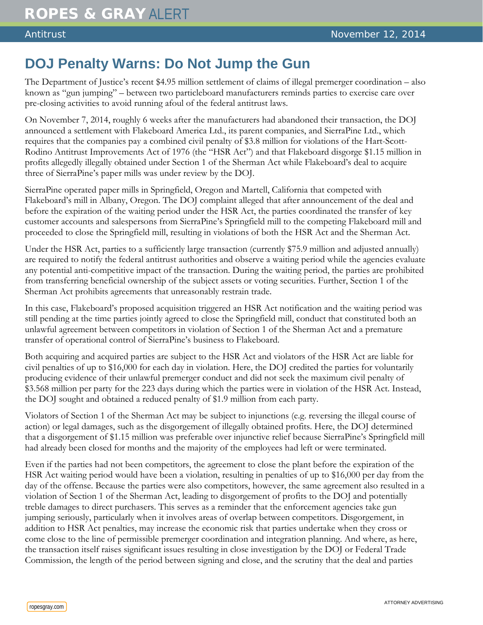## **DOJ Penalty Warns: Do Not Jump the Gun**

The Department of Justice's recent \$4.95 million settlement of claims of illegal premerger coordination – also known as "gun jumping" – between two particleboard manufacturers reminds parties to exercise care over pre-closing activities to avoid running afoul of the federal antitrust laws.

On November 7, 2014, roughly 6 weeks after the manufacturers had abandoned their transaction, the DOJ announced a settlement with Flakeboard America Ltd., its parent companies, and SierraPine Ltd., which requires that the companies pay a combined civil penalty of \$3.8 million for violations of the Hart-Scott-Rodino Antitrust Improvements Act of 1976 (the "HSR Act") and that Flakeboard disgorge \$1.15 million in profits allegedly illegally obtained under Section 1 of the Sherman Act while Flakeboard's deal to acquire three of SierraPine's paper mills was under review by the DOJ.

SierraPine operated paper mills in Springfield, Oregon and Martell, California that competed with Flakeboard's mill in Albany, Oregon. The DOJ complaint alleged that after announcement of the deal and before the expiration of the waiting period under the HSR Act, the parties coordinated the transfer of key customer accounts and salespersons from SierraPine's Springfield mill to the competing Flakeboard mill and proceeded to close the Springfield mill, resulting in violations of both the HSR Act and the Sherman Act.

Under the HSR Act, parties to a sufficiently large transaction (currently \$75.9 million and adjusted annually) are required to notify the federal antitrust authorities and observe a waiting period while the agencies evaluate any potential anti-competitive impact of the transaction. During the waiting period, the parties are prohibited from transferring beneficial ownership of the subject assets or voting securities. Further, Section 1 of the Sherman Act prohibits agreements that unreasonably restrain trade.

In this case, Flakeboard's proposed acquisition triggered an HSR Act notification and the waiting period was still pending at the time parties jointly agreed to close the Springfield mill, conduct that constituted both an unlawful agreement between competitors in violation of Section 1 of the Sherman Act and a premature transfer of operational control of SierraPine's business to Flakeboard.

Both acquiring and acquired parties are subject to the HSR Act and violators of the HSR Act are liable for civil penalties of up to \$16,000 for each day in violation. Here, the DOJ credited the parties for voluntarily producing evidence of their unlawful premerger conduct and did not seek the maximum civil penalty of \$3.568 million per party for the 223 days during which the parties were in violation of the HSR Act. Instead, the DOJ sought and obtained a reduced penalty of \$1.9 million from each party.

Violators of Section 1 of the Sherman Act may be subject to injunctions (e.g. reversing the illegal course of action) or legal damages, such as the disgorgement of illegally obtained profits. Here, the DOJ determined that a disgorgement of \$1.15 million was preferable over injunctive relief because SierraPine's Springfield mill had already been closed for months and the majority of the employees had left or were terminated.

Even if the parties had not been competitors, the agreement to close the plant before the expiration of the HSR Act waiting period would have been a violation, resulting in penalties of up to \$16,000 per day from the day of the offense. Because the parties were also competitors, however, the same agreement also resulted in a violation of Section 1 of the Sherman Act, leading to disgorgement of profits to the DOJ and potentially treble damages to direct purchasers. This serves as a reminder that the enforcement agencies take gun jumping seriously, particularly when it involves areas of overlap between competitors. Disgorgement, in addition to HSR Act penalties, may increase the economic risk that parties undertake when they cross or come close to the line of permissible premerger coordination and integration planning. And where, as here, the transaction itself raises significant issues resulting in close investigation by the DOJ or Federal Trade Commission, the length of the period between signing and close, and the scrutiny that the deal and parties